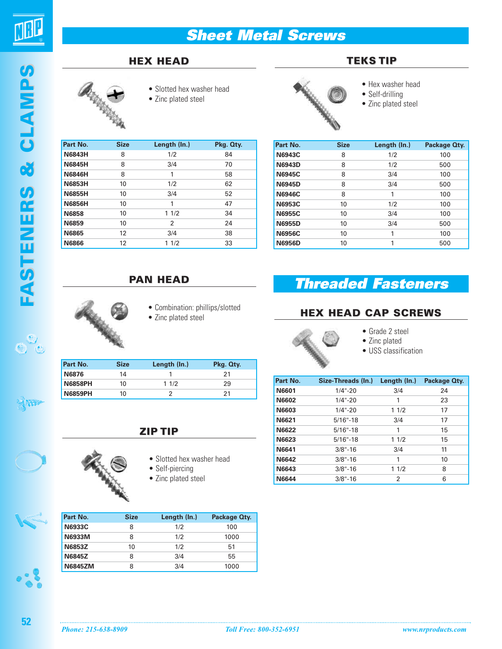

## **HEX HEAD**



- Slotted hex washer head
- Zinc plated steel

| Part No.      | <b>Size</b> | Length (In.)   | Pkg. Qty. |
|---------------|-------------|----------------|-----------|
| <b>N6843H</b> | 8           | 1/2            | 84        |
| <b>N6845H</b> | 8           | 3/4            | 70        |
| <b>N6846H</b> | 8           | 1              | 58        |
| <b>N6853H</b> | 10          | 1/2            | 62        |
| <b>N6855H</b> | 10          | 3/4            | 52        |
| <b>N6856H</b> | 10          | 1              | 47        |
| <b>N6858</b>  | 10          | 11/2           | 34        |
| <b>N6859</b>  | 10          | $\mathfrak{p}$ | 24        |
| <b>N6865</b>  | 12          | 3/4            | 38        |
| <b>N6866</b>  | 12          | 1/2<br>1       | 33        |



- **TEKS TIP**
	- Hex washer head
	- Self-drilling
	- Zinc plated steel

| Part No.      | <b>Size</b> | Length (In.) | Package Oty. |
|---------------|-------------|--------------|--------------|
| <b>N6943C</b> | 8           | 1/2          | 100          |
| <b>N6943D</b> | 8           | 1/2          | 500          |
| <b>N6945C</b> | 8           | 3/4          | 100          |
| <b>N6945D</b> | 8           | 3/4          | 500          |
| <b>N6946C</b> | 8           | 1            | 100          |
| <b>N6953C</b> | 10          | 1/2          | 100          |
| <b>N6955C</b> | 10          | 3/4          | 100          |
| <b>N6955D</b> | 10          | 3/4          | 500          |
| <b>N6956C</b> | 10          | 1            | 100          |
| <b>N6956D</b> | 10          | 1            | 500          |

# **PAN HEAD**



- Combination: phillips/slotted
- Zinc plated steel

| Part No.       | <b>Size</b> | Length (ln.) | Pkg. Qty. |
|----------------|-------------|--------------|-----------|
| N6876          | 14          |              | 21        |
| <b>N6858PH</b> | 10          | 11/2         | 29        |
| <b>N6859PH</b> | 10          |              |           |

#### **ZIP TIP**

- 
- Slotted hex washer head
- Self-piercing
- Zinc plated steel

| Part No.       | <b>Size</b> | Length (ln.) | Package Oty. |
|----------------|-------------|--------------|--------------|
| <b>N6933C</b>  |             | 1/2          | 100          |
| <b>N6933M</b>  |             | 1/2          | 1000         |
| N6853Z         | 10          | 1/2          | 51           |
| <b>N6845Z</b>  |             | 3/4          | 55           |
| <b>N6845ZM</b> |             | 3/4          | 1000         |

# **Threaded Fasteners**

# **HEX HEAD CAP SCREWS**



- Grade 2 steel
- Zinc plated
- USS classification

| Part No.     | Size-Threads (In.) | Length (In.) | Package Oty. |
|--------------|--------------------|--------------|--------------|
| N6601        | $1/4 - 20$         | 3/4          | 24           |
| <b>N6602</b> | $1/4 - 20$         | 1            | 23           |
| N6603        | $1/4 - 20$         | 11/2         | 17           |
| N6621        | $5/16" - 18$       | 3/4          | 17           |
| N6622        | $5/16$ "-18        | 1            | 15           |
| N6623        | $5/16$ "-18        | 11/2         | 15           |
| N6641        | $3/8$ "-16         | 3/4          | 11           |
| N6642        | $3/8$ "-16         | 1            | 10           |
| N6643        | $3/8$ "-16         | 11/2         | 8            |
| <b>N6644</b> | $3/8$ "-16         | 2            | 6            |

 $\mathcal{S}_{\mathfrak{S}}$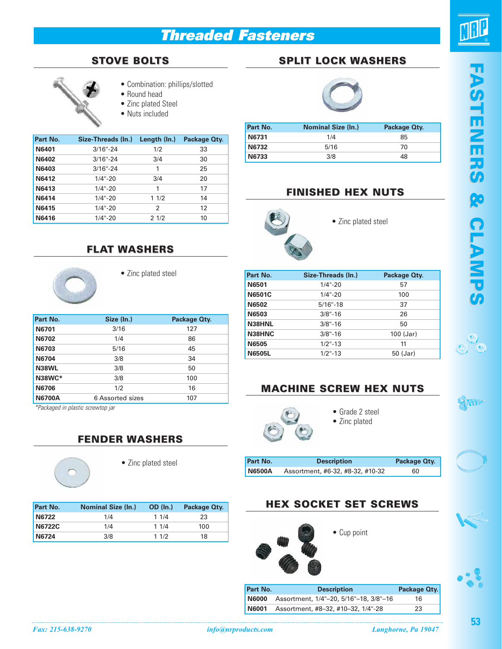# **Threaded Fasteners**



### **STOVE BOLTS**



- Round head
- Zinc plated Steel
- Nuts included

| Part No.     | Size-Threads (In.) | Length (In.) | Package Oty. |
|--------------|--------------------|--------------|--------------|
| N6401        | $3/16" - 24$       | 1/2          | 33           |
| N6402        | $3/16" - 24$       | 3/4          | 30           |
| N6403        | $3/16" - 24$       | 1            | 25           |
| N6412        | $1/4$ "-20         | 3/4          | 20           |
| N6413        | $1/4$ "-20         | 1            | 17           |
| N6414        | $1/4$ "-20         | 11/2         | 14           |
| N6415        | $1/4 - 20$         | 2            | 12           |
| <b>N6416</b> | $1/4$ "-20         | 21/2         | 10           |

## **FLAT WASHERS**

• Zinc plated steel

| Part No.      | Size (In.)       | Package Oty. |
|---------------|------------------|--------------|
| <b>N6701</b>  | 3/16             | 127          |
| <b>N6702</b>  | 1/4              | 86           |
| N6703         | 5/16             | 45           |
| <b>N6704</b>  | 3/8              | 34           |
| N38WL         | 3/8              | 50           |
| N38WC*        | 3/8              | 100          |
| <b>N6706</b>  | 1/2              | 16           |
| <b>N6700A</b> | 6 Assorted sizes | 107          |

\*Packaged in plastic screwtop jar

### **FENDER WASHERS**

• Zinc plated steel

| Part No. | <b>Nominal Size (In.)</b> | <b>OD</b> (In.) | Package Oty. |
|----------|---------------------------|-----------------|--------------|
| N6722    | 1/4                       | 11/4            | 23           |
| N6722C   | 1/4                       | 11/4            | 100          |
| N6724    | 3/8                       | 11/2            | 18           |

# **SPLIT LOCK WASHERS**



| Part No. | <b>Nominal Size (In.)</b> | Package Oty. |
|----------|---------------------------|--------------|
| N6731    | 1/4                       | 85           |
| N6732    | 5/16                      | 70           |
| N6733    | 3/8                       | 48           |

### **FINISHED HEX NUTS**



• Zinc plated steel

| Part No.      | Size-Threads (In.) | Package Oty. |
|---------------|--------------------|--------------|
| <b>N6501</b>  | $1/4$ "-20         | 57           |
| <b>N6501C</b> | $1/4$ "-20         | 100          |
| <b>N6502</b>  | $5/16$ "-18        | 37           |
| N6503         | $3/8" - 16$        | 26           |
| N38HNL        | $3/8$ "-16         | 50           |
| N38HNC        | $3/8$ "-16         | $100$ (Jar)  |
| <b>N6505</b>  | $1/2$ "-13         | 11           |
| <b>N6505L</b> | $1/2$ "-13         | 50 (Jar)     |

# **MACHINE SCREW HEX NUTS**



- Grade 2 steel
- 
- Zinc plated

| Part No.      | <b>Description</b>               | Package Oty. |
|---------------|----------------------------------|--------------|
| <b>N6500A</b> | Assortment, #6-32, #8-32, #10-32 | 60           |



**Part No. 6 Description Package Qty. N6000** Assortment, 1/4"–20, 5/16"–18, 3/8"–16 16 **N6001** Assortment, #8–32, #10–32, 1/4"-28 23



No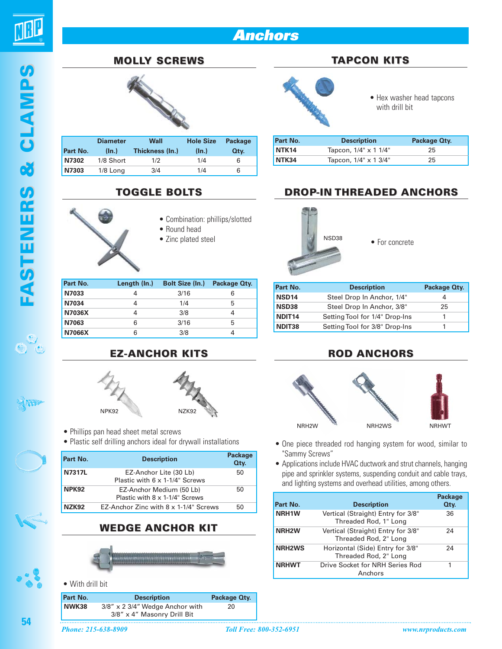



# **MOLLY SCREWS**



| Part No. | <b>Diameter</b><br>(ln.) | Wall<br>Thickness (In.) | <b>Hole Size</b><br>(ln.) | <b>Package</b><br>Qtv. |
|----------|--------------------------|-------------------------|---------------------------|------------------------|
| N7302    | 1/8 Short                | 1/2                     | 1/4                       | 6                      |
| N7303    | 1/8 Long                 | 3/4                     | 1/4                       | 6                      |

#### **TOGGLE BOLTS**



- Combination: phillips/slotted
- Round head
- Zinc plated steel

| Part No.      | Length (In.) | <b>Bolt Size (In.)</b> | Package Oty. |
|---------------|--------------|------------------------|--------------|
| N7033         |              | 3/16                   |              |
| N7034         |              | 1/4                    | 5            |
| N7036X        |              | 3/8                    |              |
| N7063         | 6            | 3/16                   | 5            |
| <b>N7066X</b> | 6            | 3/8                    |              |

# **EZ-ANCHOR KITS**



- Phillips pan head sheet metal screws
- Plastic self drilling anchors ideal for drywall installations

| Part No.     | <b>Description</b>                                         | <b>Package</b><br>Qty. |
|--------------|------------------------------------------------------------|------------------------|
| N7317L       | EZ-Anchor Lite (30 Lb)<br>Plastic with 6 x 1-1/4" Screws   | 50                     |
| NPK92        | EZ-Anchor Medium (50 Lb)<br>Plastic with 8 x 1-1/4" Screws | 50                     |
| <b>NZK92</b> | EZ-Anchor Zinc with 8 x 1-1/4" Screws                      | 50                     |

### **WEDGE ANCHOR KIT**



#### • With drill bit



### **TAPCON KITS**



• Hex washer head tapcons with drill bit

| Part No.          | <b>Description</b>    | Package Oty. |
|-------------------|-----------------------|--------------|
| NTK <sub>14</sub> | Tapcon, 1/4" x 1 1/4" | 25           |
| NTK34             | Tapcon, 1/4" x 1 3/4" | 25           |

## **DROP-IN THREADED ANCHORS**



NSD38 • For concrete

| Part No.           | <b>Description</b>             | Package Oty. |
|--------------------|--------------------------------|--------------|
| <b>NSD14</b>       | Steel Drop In Anchor, 1/4"     |              |
| <b>NSD38</b>       | Steel Drop In Anchor, 3/8"     | 25           |
| NDIT <sub>14</sub> | Setting Tool for 1/4" Drop-Ins |              |
| NDIT38             | Setting Tool for 3/8" Drop-Ins |              |

### **ROD ANCHORS**



- One piece threaded rod hanging system for wood, similar to "Sammy Screws"
- Applications include HVAC ductwork and strut channels, hanging pipe and sprinkler systems, suspending conduit and cable trays, and lighting systems and overhead utilities, among others.

| Part No.           | <b>Description</b>                                          | <b>Package</b><br>Qty. |
|--------------------|-------------------------------------------------------------|------------------------|
| NRH1W              | Vertical (Straight) Entry for 3/8"<br>Threaded Rod, 1" Long | 36                     |
| NRH <sub>2</sub> W | Vertical (Straight) Entry for 3/8"<br>Threaded Rod, 2" Long | 24                     |
| <b>NRH2WS</b>      | Horizontal (Side) Entry for 3/8"<br>Threaded Rod, 2" Long   | 24                     |
| <b>NRHWT</b>       | Drive Socket for NRH Series Rod<br>Anchors                  |                        |